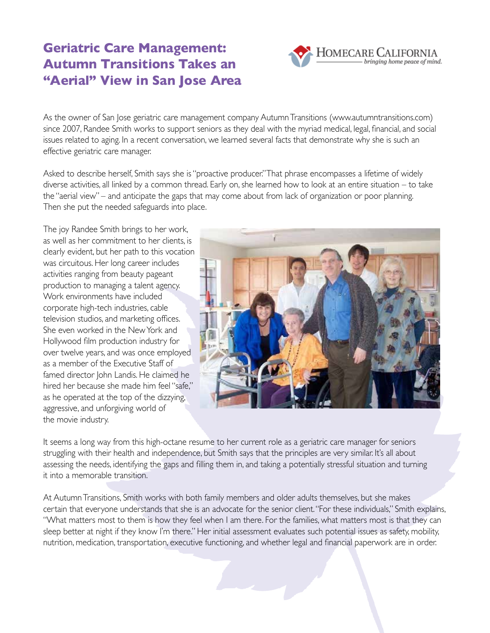## **Geriatric Care Management: Autumn Transitions Takes an "Aerial" View in San Jose Area**

As the owner of San Jose geriatric care management company Autumn Transitions (www.autumntransitions.com) since 2007, Randee Smith works to support seniors as they deal with the myriad medical, legal, financial, and social issues related to aging. In a recent conversation, we learned several facts that demonstrate why she is such an effective geriatric care manager.

Asked to describe herself, Smith says she is "proactive producer." That phrase encompasses a lifetime of widely diverse activities, all linked by a common thread. Early on, she learned how to look at an entire situation – to take the "aerial view" – and anticipate the gaps that may come about from lack of organization or poor planning. Then she put the needed safeguards into place.

The joy Randee Smith brings to her work, as well as her commitment to her clients, is clearly evident, but her path to this vocation was circuitous. Her long career includes activities ranging from beauty pageant production to managing a talent agency. Work environments have included corporate high-tech industries, cable television studios, and marketing offices. She even worked in the New York and Hollywood film production industry for over twelve years, and was once employed as a member of the Executive Staff of famed director John Landis. He claimed he hired her because she made him feel "safe," as he operated at the top of the dizzying, aggressive, and unforgiving world of the movie industry.



HOMECARE CALIFORNIA

It seems a long way from this high-octane resume to her current role as a geriatric care manager for seniors struggling with their health and independence, but Smith says that the principles are very similar. It's all about assessing the needs, identifying the gaps and filling them in, and taking a potentially stressful situation and turning it into a memorable transition.

At Autumn Transitions, Smith works with both family members and older adults themselves, but she makes certain that everyone understands that she is an advocate for the senior client. "For these individuals," Smith explains, "What matters most to them is how they feel when I am there. For the families, what matters most is that they can sleep better at night if they know I'm there." Her initial assessment evaluates such potential issues as safety, mobility, nutrition, medication, transportation, executive functioning, and whether legal and financial paperwork are in order.